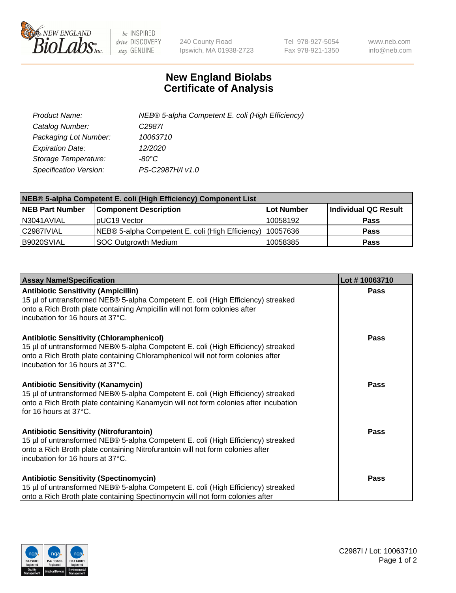

 $be$  INSPIRED drive DISCOVERY stay GENUINE

240 County Road Ipswich, MA 01938-2723 Tel 978-927-5054 Fax 978-921-1350 www.neb.com info@neb.com

## **New England Biolabs Certificate of Analysis**

| Product Name:           | NEB® 5-alpha Competent E. coli (High Efficiency) |
|-------------------------|--------------------------------------------------|
| Catalog Number:         | C <sub>2987</sub>                                |
| Packaging Lot Number:   | 10063710                                         |
| <b>Expiration Date:</b> | 12/2020                                          |
| Storage Temperature:    | -80°C                                            |
| Specification Version:  | PS-C2987H/I v1.0                                 |

| NEB® 5-alpha Competent E. coli (High Efficiency) Component List |                                                  |            |                      |  |
|-----------------------------------------------------------------|--------------------------------------------------|------------|----------------------|--|
| <b>NEB Part Number</b>                                          | <b>Component Description</b>                     | Lot Number | Individual QC Result |  |
| N3041AVIAL                                                      | pUC19 Vector                                     | 10058192   | <b>Pass</b>          |  |
| C2987IVIAL                                                      | NEB® 5-alpha Competent E. coli (High Efficiency) | 10057636   | <b>Pass</b>          |  |
| B9020SVIAL                                                      | <b>SOC Outgrowth Medium</b>                      | 10058385   | <b>Pass</b>          |  |

| <b>Assay Name/Specification</b>                                                                                                                                                                                                                            | Lot #10063710 |
|------------------------------------------------------------------------------------------------------------------------------------------------------------------------------------------------------------------------------------------------------------|---------------|
| <b>Antibiotic Sensitivity (Ampicillin)</b><br>15 µl of untransformed NEB® 5-alpha Competent E. coli (High Efficiency) streaked<br>onto a Rich Broth plate containing Ampicillin will not form colonies after<br>incubation for 16 hours at 37°C.           | Pass          |
| <b>Antibiotic Sensitivity (Chloramphenicol)</b><br>15 µl of untransformed NEB® 5-alpha Competent E. coli (High Efficiency) streaked<br>onto a Rich Broth plate containing Chloramphenicol will not form colonies after<br>incubation for 16 hours at 37°C. | Pass          |
| Antibiotic Sensitivity (Kanamycin)<br>15 µl of untransformed NEB® 5-alpha Competent E. coli (High Efficiency) streaked<br>onto a Rich Broth plate containing Kanamycin will not form colonies after incubation<br>for 16 hours at 37°C.                    | Pass          |
| <b>Antibiotic Sensitivity (Nitrofurantoin)</b><br>15 µl of untransformed NEB® 5-alpha Competent E. coli (High Efficiency) streaked<br>onto a Rich Broth plate containing Nitrofurantoin will not form colonies after<br>incubation for 16 hours at 37°C.   | <b>Pass</b>   |
| <b>Antibiotic Sensitivity (Spectinomycin)</b><br>15 µl of untransformed NEB® 5-alpha Competent E. coli (High Efficiency) streaked<br>onto a Rich Broth plate containing Spectinomycin will not form colonies after                                         | Pass          |